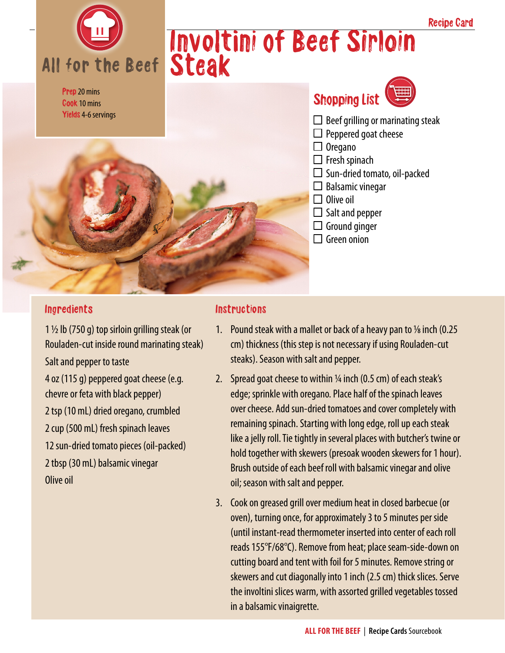

## Ingredients

1  $\frac{1}{2}$  lb (750 g) top sirloin grilling steak (or Rouladen-cut inside round marinating steak) Salt and pepper to taste 4 oz (115 g) peppered goat cheese (e.g. chevre or feta with black pepper) 2 tsp (10 mL) dried oregano, crumbled 2 cup (500 mL) fresh spinach leaves 12 sun-dried tomato pieces (oil-packed) 2 tbsp (30 mL) balsamic vinegar Olive oil

## **Instructions**

1. Pound steak with a mallet or back of a heavy pan to  $\frac{1}{8}$  inch (0.25) cm) thickness (this step is not necessary if using Rouladen-cut steaks). Season with salt and pepper.

Recipe Card

- 2. Spread goat cheese to within  $\frac{1}{4}$  inch (0.5 cm) of each steak's edge; sprinkle with oregano. Place half of the spinach leaves over cheese. Add sun-dried tomatoes and cover completely with remaining spinach. Starting with long edge, roll up each steak like a jelly roll. Tie tightly in several places with butcher's twine or hold together with skewers (presoak wooden skewers for 1 hour). Brush outside of each beef roll with balsamic vinegar and olive oil; season with salt and pepper.
- 3. Cook on greased grill over medium heat in closed barbecue (or oven), turning once, for approximately 3 to 5 minutes per side (until instant-read thermometer inserted into center of each roll reads 155°F/68°C). Remove from heat; place seam-side-down on cutting board and tent with foil for 5 minutes. Remove string or skewers and cut diagonally into 1 inch (2.5 cm) thick slices. Serve the involtini slices warm, with assorted grilled vegetables tossed in a balsamic vinaigrette.